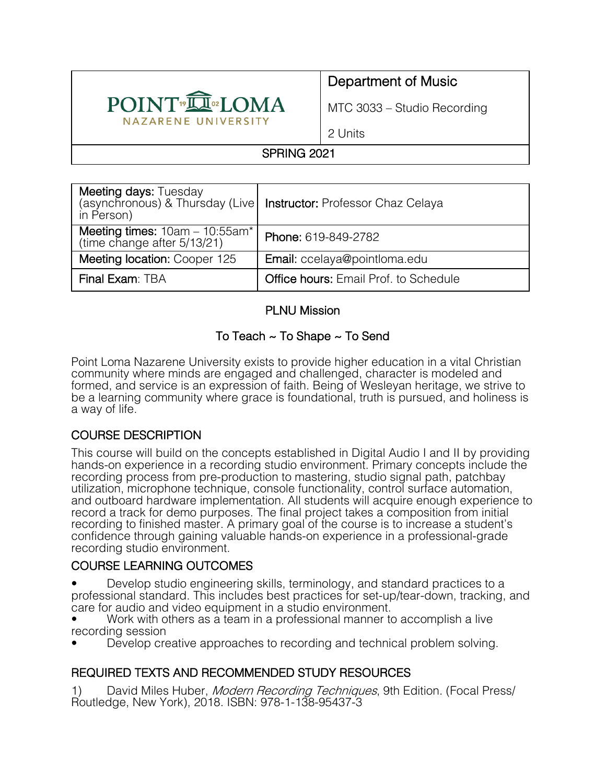

# Department of Music

MTC 3033 – Studio Recording

2 Units

## SPRING 2021

| Meeting days: Tuesday<br>in Person)                              | (asynchronous) & Thursday (Live   Instructor: Professor Chaz Celaya |  |
|------------------------------------------------------------------|---------------------------------------------------------------------|--|
| Meeting times: $10am - 10:55am^*$<br>(time change after 5/13/21) | Phone: 619-849-2782                                                 |  |
| Meeting location: Cooper 125                                     | Email: ccelaya@pointloma.edu                                        |  |
| Final Exam: TBA                                                  | <b>Office hours: Email Prof. to Schedule</b>                        |  |

#### PLNU Mission

## To Teach ~ To Shape ~ To Send

Point Loma Nazarene University exists to provide higher education in a vital Christian community where minds are engaged and challenged, character is modeled and formed, and service is an expression of faith. Being of Wesleyan heritage, we strive to be a learning community where grace is foundational, truth is pursued, and holiness is a way of life.

## COURSE DESCRIPTION

This course will build on the concepts established in Digital Audio I and II by providing hands-on experience in a recording studio environment. Primary concepts include the recording process from pre-production to mastering, studio signal path, patchbay utilization, microphone technique, console functionality, control surface automation, and outboard hardware implementation. All students will acquire enough experience to record a track for demo purposes. The final project takes a composition from initial recording to finished master. A primary goal of the course is to increase a student's confidence through gaining valuable hands-on experience in a professional-grade recording studio environment.

#### COURSE LEARNING OUTCOMES

• Develop studio engineering skills, terminology, and standard practices to a professional standard. This includes best practices for set-up/tear-down, tracking, and care for audio and video equipment in a studio environment.

• Work with others as a team in a professional manner to accomplish a live recording session

• Develop creative approaches to recording and technical problem solving.

## REQUIRED TEXTS AND RECOMMENDED STUDY RESOURCES

1) David Miles Huber, *Modern Recording Techniques*, 9th Edition. (Focal Press/ Routledge, New York), 2018. ISBN: 978-1-138-95437-3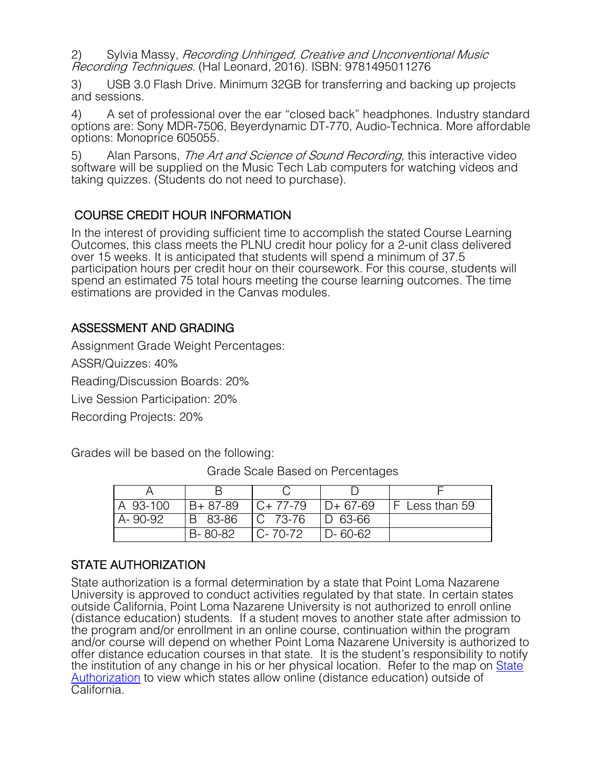2) Sylvia Massy, Recording Unhinged, Creative and Unconventional Music Recording Techniques. (Hal Leonard, 2016). ISBN: 9781495011276

3) USB 3.0 Flash Drive. Minimum 32GB for transferring and backing up projects and sessions.

4) A set of professional over the ear "closed back" headphones. Industry standard options are: Sony MDR-7506, Beyerdynamic DT-770, Audio-Technica. More affordable options: Monoprice 605055.

5) Alan Parsons, The Art and Science of Sound Recording, this interactive video software will be supplied on the Music Tech Lab computers for watching videos and taking quizzes. (Students do not need to purchase).

COURSE CREDIT HOUR INFORMATION<br>In the interest of providing sufficient time to accomplish the stated Course Learning Outcomes, this class meets the PLNU credit hour policy for a 2-unit class delivered over 15 weeks. It is anticipated that students will spend a minimum of 37.5 participation hours per credit hour on their coursework. For this course, students will spend an estimated 75 total hours meeting the course learning outcomes. The time estimations are provided in the Canvas modules.

#### ASSESSMENT AND GRADING

Assignment Grade Weight Percentages:

ASSR/Quizzes: 40%

Reading/Discussion Boards: 20%

Live Session Participation: 20%

Recording Projects: 20%

Grades will be based on the following:

| A 93-100 | $B + 87 - 89$ | $C+77-79$     | $D+67-69$     | <b>IF Less than 59</b> |
|----------|---------------|---------------|---------------|------------------------|
| A-90-92  | IB 83-86      | IC 73-76      | $D$ 63-66     |                        |
|          | B-80-82       | $C - 70 - 72$ | $D - 60 - 62$ |                        |

Grade Scale Based on Percentages

#### STATE AUTHORIZATION

State authorization is a formal determination by a state that Point Loma Nazarene University is approved to conduct activities regulated by that state. In certain states outside California, Point Loma Nazarene University is not authorized to enroll online (distance education) students. If a student moves to another state after admission to the program and/or enrollment in an online course, continuation within the program and/or course will depend on whether Point Loma Nazarene University is authorized to offer distance education courses in that state. It is the student's responsibility to notify the institution of any change in his or her physical location. Refer to the map on State Authorization to view which states allow online (distance education) outside of California.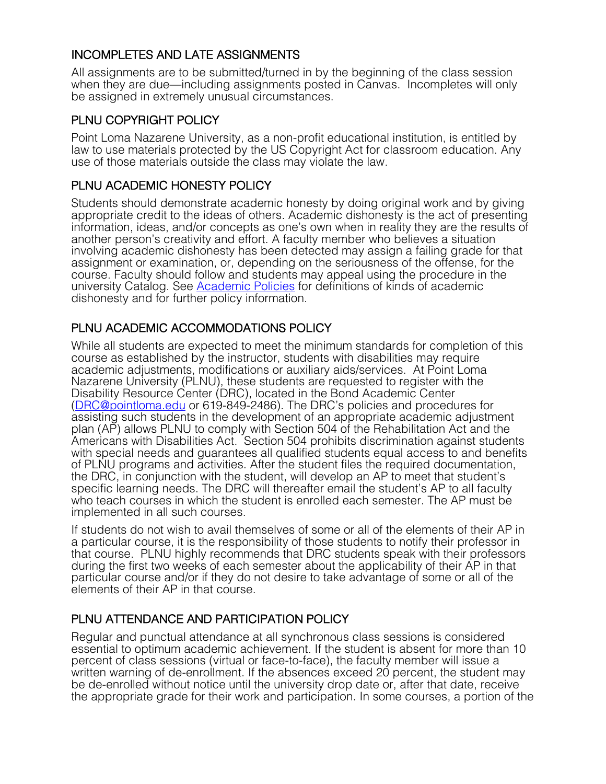## INCOMPLETES AND LATE ASSIGNMENTS

All assignments are to be submitted/turned in by the beginning of the class session when they are due—including assignments posted in Canvas. Incompletes will only be assigned in extremely unusual circumstances.

#### PLNU COPYRIGHT POLICY

Point Loma Nazarene University, as a non-profit educational institution, is entitled by law to use materials protected by the US Copyright Act for classroom education. Any use of those materials outside the class may violate the law.

## PLNU ACADEMIC HONESTY POLICY

Students should demonstrate academic honesty by doing original work and by giving appropriate credit to the ideas of others. Academic dishonesty is the act of presenting information, ideas, and/or concepts as one's own when in reality they are the results of another person's creativity and effort. A faculty member who believes a situation involving academic dishonesty has been detected may assign a failing grade for that assignment or examination, or, depending on the seriousness of the offense, for the course. Faculty should follow and students may appeal using the procedure in the university Catalog. See Academic Policies for definitions of kinds of academic dishonesty and for further policy information.

## PLNU ACADEMIC ACCOMMODATIONS POLICY

While all students are expected to meet the minimum standards for completion of this course as established by the instructor, students with disabilities may require academic adjustments, modifications or auxiliary aids/services. At Point Loma Nazarene University (PLNU), these students are requested to register with the Disability Resource Center (DRC), located in the Bond Academic Center (DRC@pointloma.edu or 619-849-2486). The DRC's policies and procedures for assisting such students in the development of an appropriate academic adjustment plan (AP) allows PLNU to comply with Section 504 of the Rehabilitation Act and the Americans with Disabilities Act. Section 504 prohibits discrimination against students with special needs and guarantees all qualified students equal access to and benefits of PLNU programs and activities. After the student files the required documentation, the DRC, in conjunction with the student, will develop an AP to meet that student's specific learning needs. The DRC will thereafter email the student's AP to all faculty who teach courses in which the student is enrolled each semester. The AP must be implemented in all such courses.

If students do not wish to avail themselves of some or all of the elements of their AP in a particular course, it is the responsibility of those students to notify their professor in that course. PLNU highly recommends that DRC students speak with their professors during the first two weeks of each semester about the applicability of their AP in that particular course and/or if they do not desire to take advantage of some or all of the elements of their AP in that course.

## PLNU ATTENDANCE AND PARTICIPATION POLICY

Regular and punctual attendance at all synchronous class sessions is considered essential to optimum academic achievement. If the student is absent for more than 10 percent of class sessions (virtual or face-to-face), the faculty member will issue a written warning of de-enrollment. If the absences exceed 20 percent, the student may be de-enrolled without notice until the university drop date or, after that date, receive the appropriate grade for their work and participation. In some courses, a portion of the